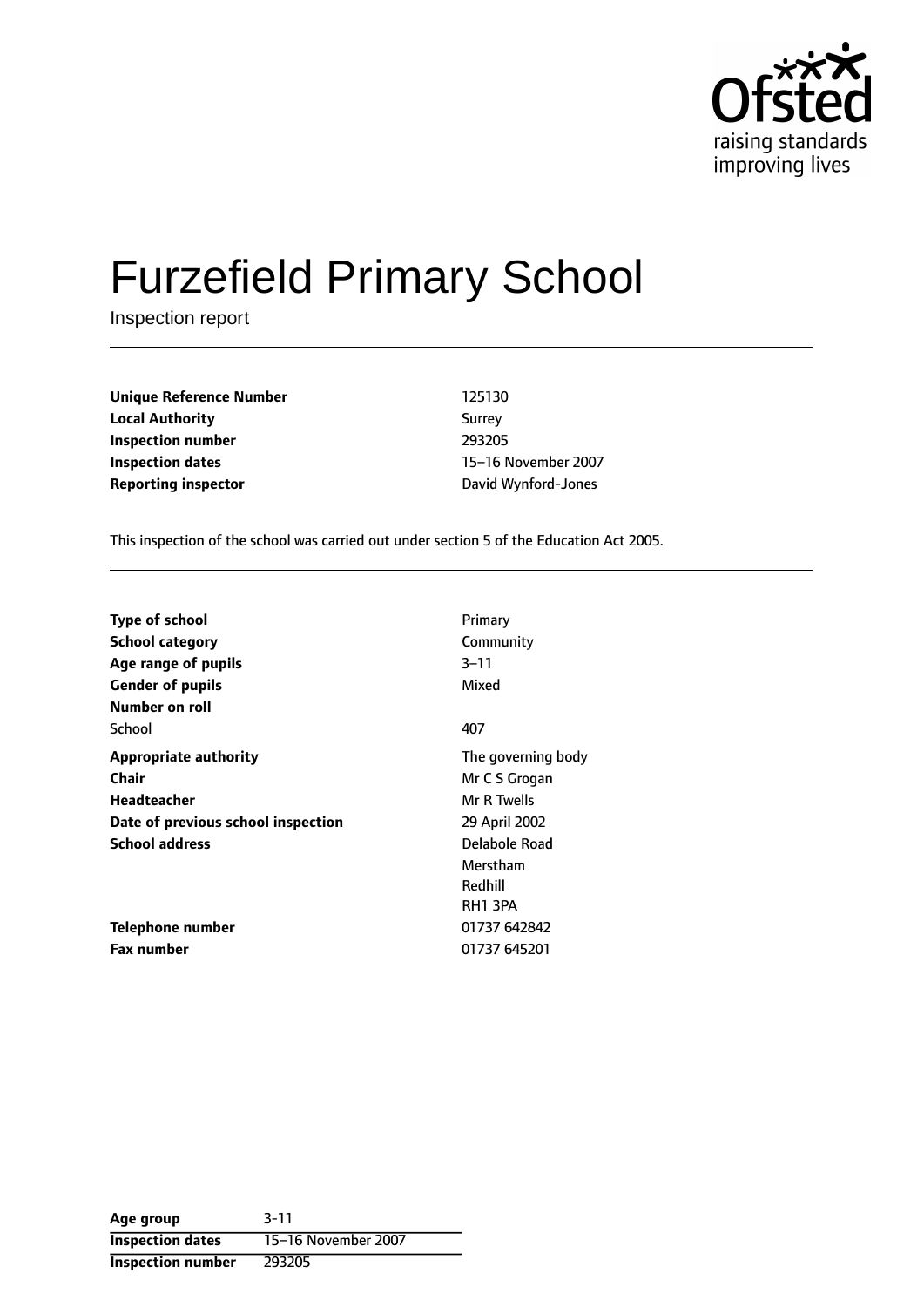

# Furzefield Primary School

Inspection report

**Unique Reference Number** 125130 **Local Authority** Surrey **Inspection number** 293205 **Inspection dates** 15-16 November 2007 **Reporting inspector CONFIDENTIFY REPORTING** David Wynford-Jones

This inspection of the school was carried out under section 5 of the Education Act 2005.

| <b>Type of school</b>              | Primary            |
|------------------------------------|--------------------|
|                                    |                    |
| School category                    | Community          |
| Age range of pupils                | 3–11               |
| <b>Gender of pupils</b>            | Mixed              |
| Number on roll                     |                    |
| School                             | 407                |
| <b>Appropriate authority</b>       | The governing body |
| Chair                              | Mr C S Grogan      |
| <b>Headteacher</b>                 | Mr R Twells        |
| Date of previous school inspection | 29 April 2002      |
| <b>School address</b>              | Delabole Road      |
|                                    | Merstham           |
|                                    | Redhill            |
|                                    | RH1 3PA            |
| Telephone number                   | 01737 642842       |
| <b>Fax number</b>                  | 01737 645201       |

**Age group** 3-11 **Inspection dates** 15-16 November 2007 **Inspection number** 293205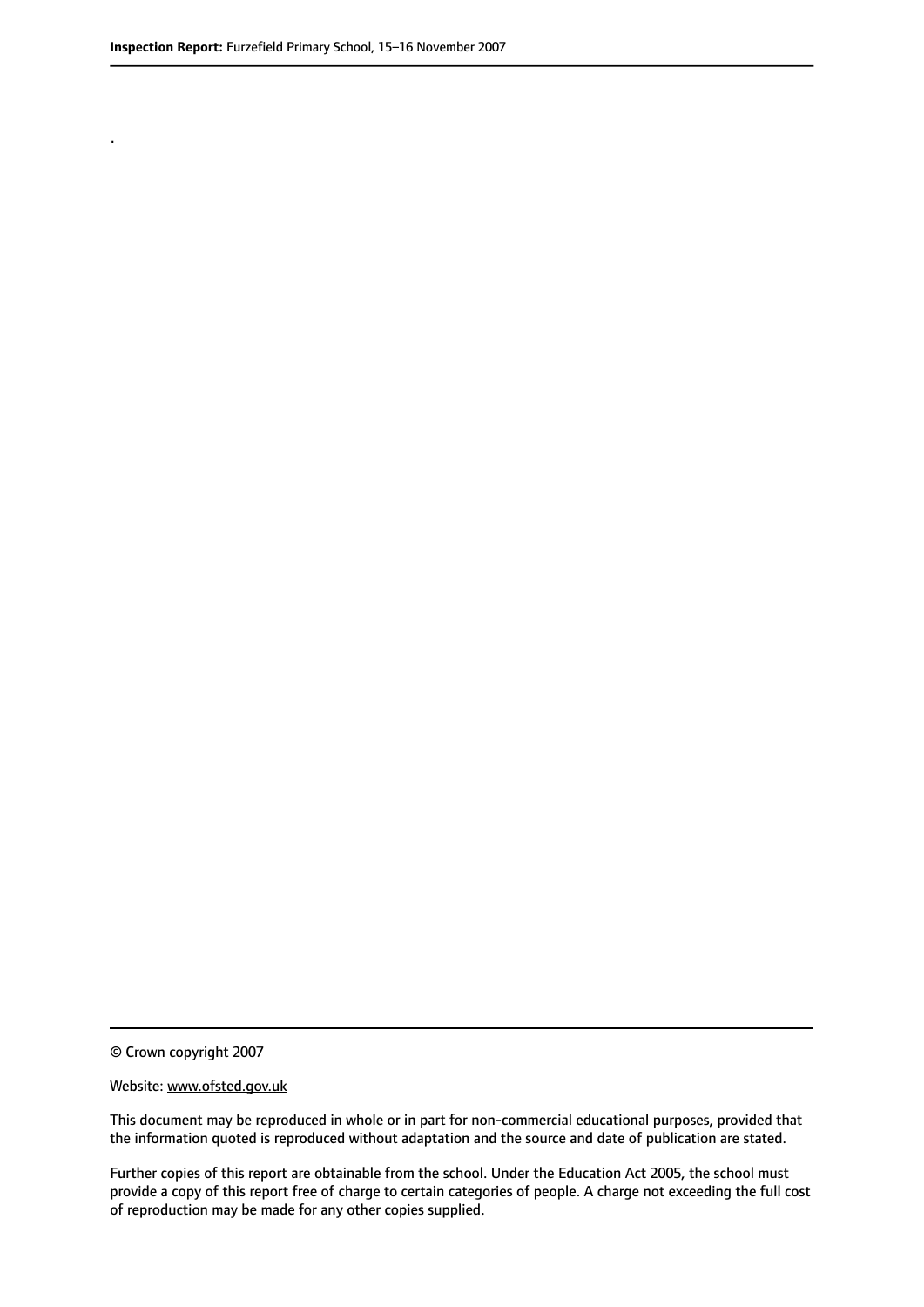.

© Crown copyright 2007

#### Website: www.ofsted.gov.uk

This document may be reproduced in whole or in part for non-commercial educational purposes, provided that the information quoted is reproduced without adaptation and the source and date of publication are stated.

Further copies of this report are obtainable from the school. Under the Education Act 2005, the school must provide a copy of this report free of charge to certain categories of people. A charge not exceeding the full cost of reproduction may be made for any other copies supplied.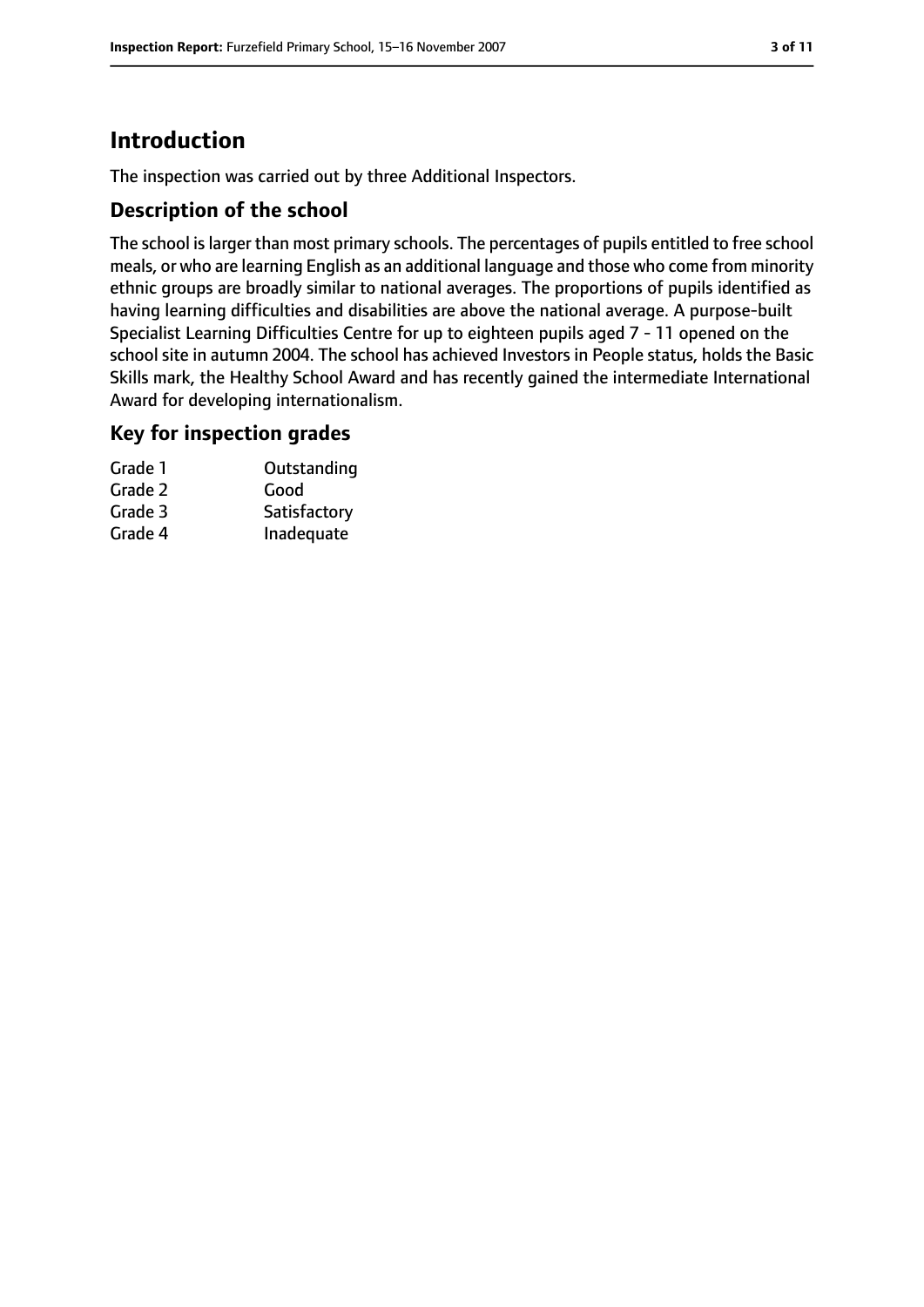# **Introduction**

The inspection was carried out by three Additional Inspectors.

## **Description of the school**

The school is larger than most primary schools. The percentages of pupils entitled to free school meals, or who are learning English as an additional language and those who come from minority ethnic groups are broadly similar to national averages. The proportions of pupils identified as having learning difficulties and disabilities are above the national average. A purpose-built Specialist Learning Difficulties Centre for up to eighteen pupils aged 7 - 11 opened on the school site in autumn 2004. The school has achieved Investors in People status, holds the Basic Skills mark, the Healthy School Award and has recently gained the intermediate International Award for developing internationalism.

#### **Key for inspection grades**

| Grade 1 | Outstanding  |
|---------|--------------|
| Grade 2 | Good         |
| Grade 3 | Satisfactory |
| Grade 4 | Inadequate   |
|         |              |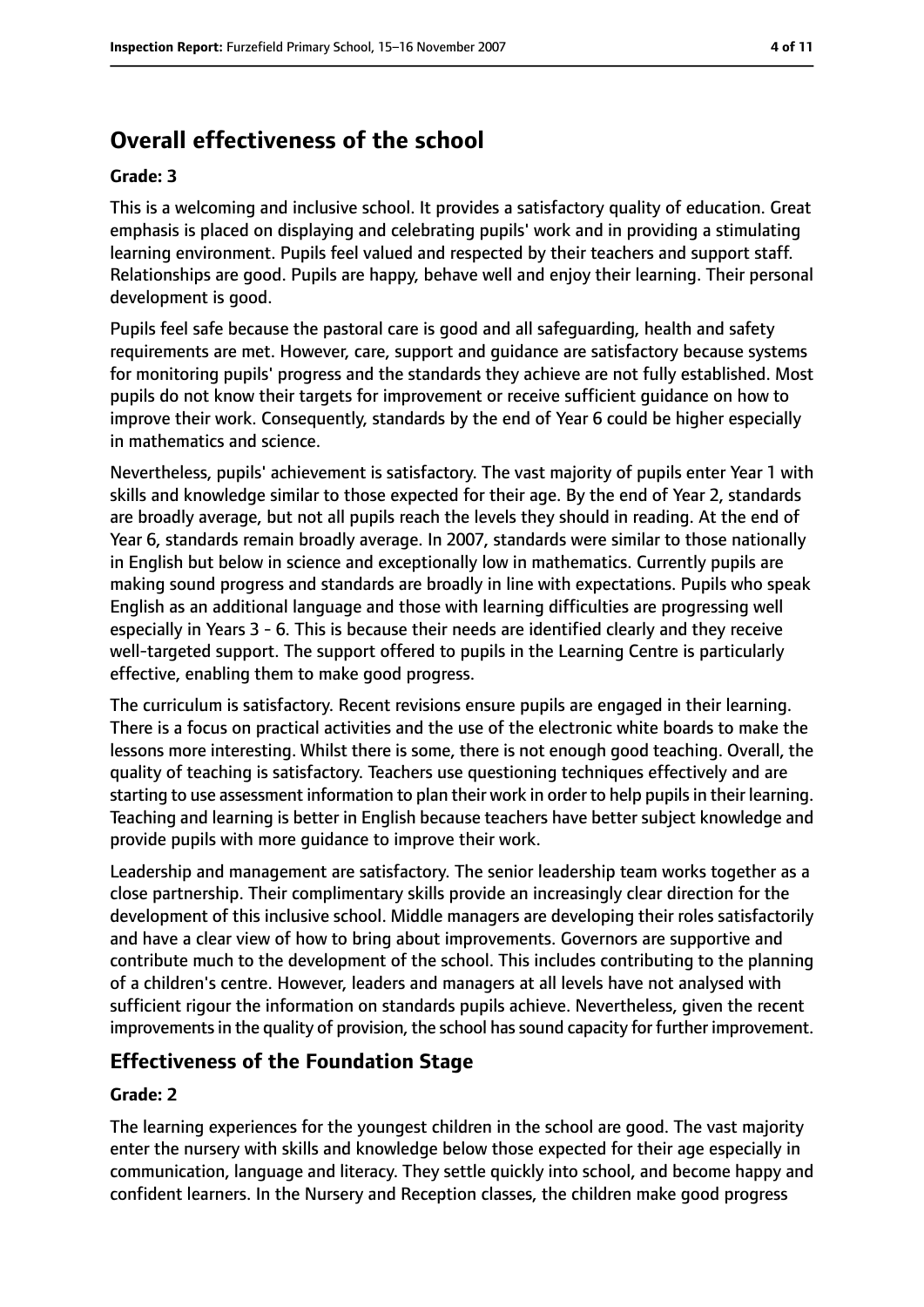# **Overall effectiveness of the school**

#### **Grade: 3**

This is a welcoming and inclusive school. It provides a satisfactory quality of education. Great emphasis is placed on displaying and celebrating pupils' work and in providing a stimulating learning environment. Pupils feel valued and respected by their teachers and support staff. Relationships are good. Pupils are happy, behave well and enjoy their learning. Their personal development is good.

Pupils feel safe because the pastoral care is good and all safeguarding, health and safety requirements are met. However, care, support and guidance are satisfactory because systems for monitoring pupils' progress and the standards they achieve are not fully established. Most pupils do not know their targets for improvement or receive sufficient guidance on how to improve their work. Consequently, standards by the end of Year 6 could be higher especially in mathematics and science.

Nevertheless, pupils' achievement is satisfactory. The vast majority of pupils enter Year 1 with skills and knowledge similar to those expected for their age. By the end of Year 2, standards are broadly average, but not all pupils reach the levels they should in reading. At the end of Year 6, standards remain broadly average. In 2007, standards were similar to those nationally in English but below in science and exceptionally low in mathematics. Currently pupils are making sound progress and standards are broadly in line with expectations. Pupils who speak English as an additional language and those with learning difficulties are progressing well especially in Years 3 - 6. This is because their needs are identified clearly and they receive well-targeted support. The support offered to pupils in the Learning Centre is particularly effective, enabling them to make good progress.

The curriculum is satisfactory. Recent revisions ensure pupils are engaged in their learning. There is a focus on practical activities and the use of the electronic white boards to make the lessons more interesting. Whilst there is some, there is not enough good teaching. Overall, the quality of teaching is satisfactory. Teachers use questioning techniques effectively and are starting to use assessment information to plan their work in order to help pupils in their learning. Teaching and learning is better in English because teachers have better subject knowledge and provide pupils with more guidance to improve their work.

Leadership and management are satisfactory. The senior leadership team works together as a close partnership. Their complimentary skills provide an increasingly clear direction for the development of this inclusive school. Middle managers are developing their roles satisfactorily and have a clear view of how to bring about improvements. Governors are supportive and contribute much to the development of the school. This includes contributing to the planning of a children's centre. However, leaders and managers at all levels have not analysed with sufficient rigour the information on standards pupils achieve. Nevertheless, given the recent improvements in the quality of provision, the school has sound capacity for further improvement.

## **Effectiveness of the Foundation Stage**

#### **Grade: 2**

The learning experiences for the youngest children in the school are good. The vast majority enter the nursery with skills and knowledge below those expected for their age especially in communication, language and literacy. They settle quickly into school, and become happy and confident learners. In the Nursery and Reception classes, the children make good progress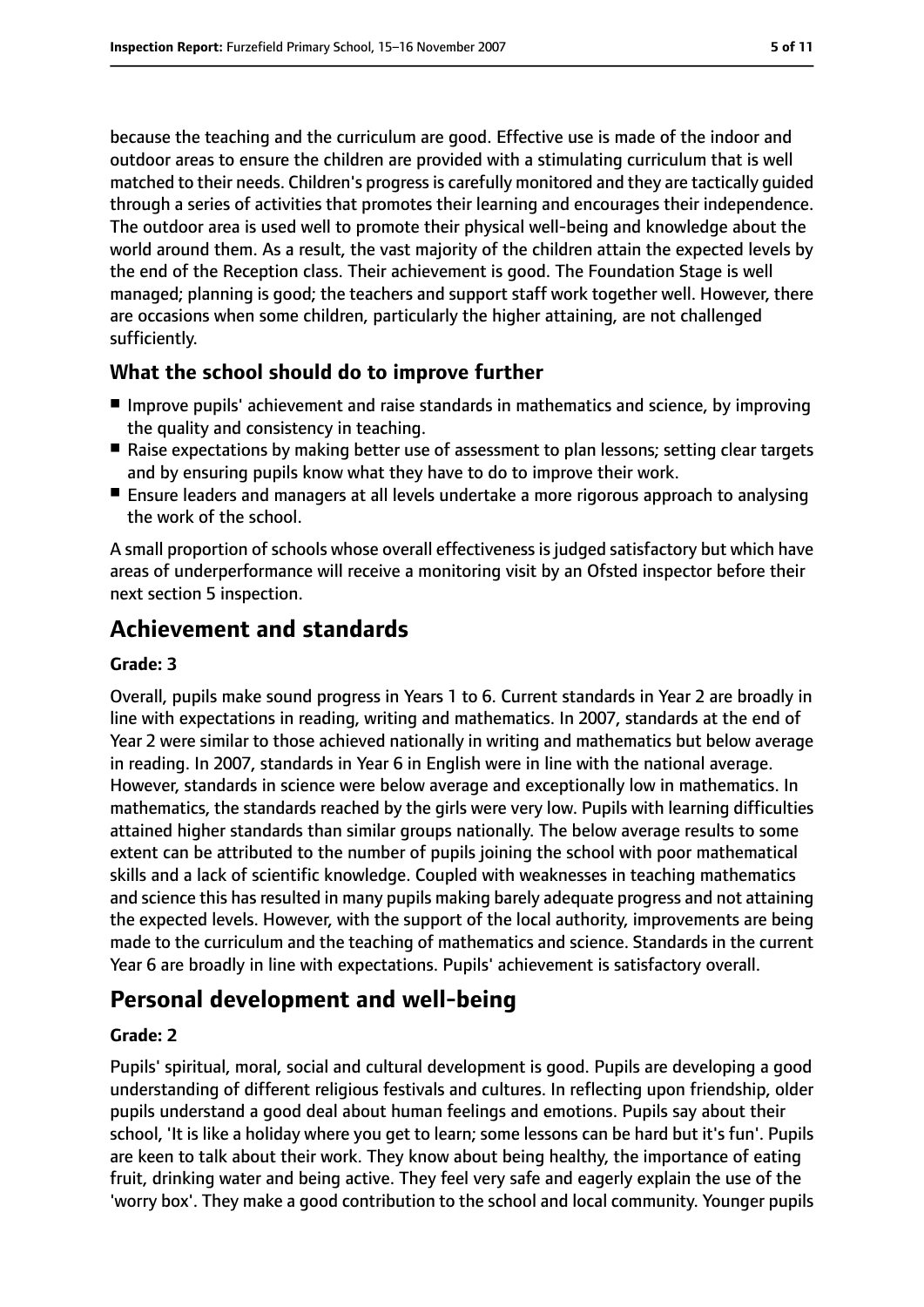because the teaching and the curriculum are good. Effective use is made of the indoor and outdoor areas to ensure the children are provided with a stimulating curriculum that is well matched to their needs. Children's progress is carefully monitored and they are tactically guided through a series of activities that promotes their learning and encourages their independence. The outdoor area is used well to promote their physical well-being and knowledge about the world around them. As a result, the vast majority of the children attain the expected levels by the end of the Reception class. Their achievement is good. The Foundation Stage is well managed; planning is good; the teachers and support staff work together well. However, there are occasions when some children, particularly the higher attaining, are not challenged sufficiently.

## **What the school should do to improve further**

- Improve pupils' achievement and raise standards in mathematics and science, by improving the quality and consistency in teaching.
- Raise expectations by making better use of assessment to plan lessons; setting clear targets and by ensuring pupils know what they have to do to improve their work.
- Ensure leaders and managers at all levels undertake a more rigorous approach to analysing the work of the school.

A small proportion of schools whose overall effectiveness is judged satisfactory but which have areas of underperformance will receive a monitoring visit by an Ofsted inspector before their next section 5 inspection.

# **Achievement and standards**

#### **Grade: 3**

Overall, pupils make sound progress in Years 1 to 6. Current standards in Year 2 are broadly in line with expectations in reading, writing and mathematics. In 2007, standards at the end of Year 2 were similar to those achieved nationally in writing and mathematics but below average in reading. In 2007, standards in Year 6 in English were in line with the national average. However, standards in science were below average and exceptionally low in mathematics. In mathematics, the standards reached by the girls were very low. Pupils with learning difficulties attained higher standards than similar groups nationally. The below average results to some extent can be attributed to the number of pupils joining the school with poor mathematical skills and a lack of scientific knowledge. Coupled with weaknesses in teaching mathematics and science this has resulted in many pupils making barely adequate progress and not attaining the expected levels. However, with the support of the local authority, improvements are being made to the curriculum and the teaching of mathematics and science. Standards in the current Year 6 are broadly in line with expectations. Pupils' achievement is satisfactory overall.

# **Personal development and well-being**

#### **Grade: 2**

Pupils' spiritual, moral, social and cultural development is good. Pupils are developing a good understanding of different religious festivals and cultures. In reflecting upon friendship, older pupils understand a good deal about human feelings and emotions. Pupils say about their school, 'It is like a holiday where you get to learn; some lessons can be hard but it's fun'. Pupils are keen to talk about their work. They know about being healthy, the importance of eating fruit, drinking water and being active. They feel very safe and eagerly explain the use of the 'worry box'. They make a good contribution to the school and local community. Younger pupils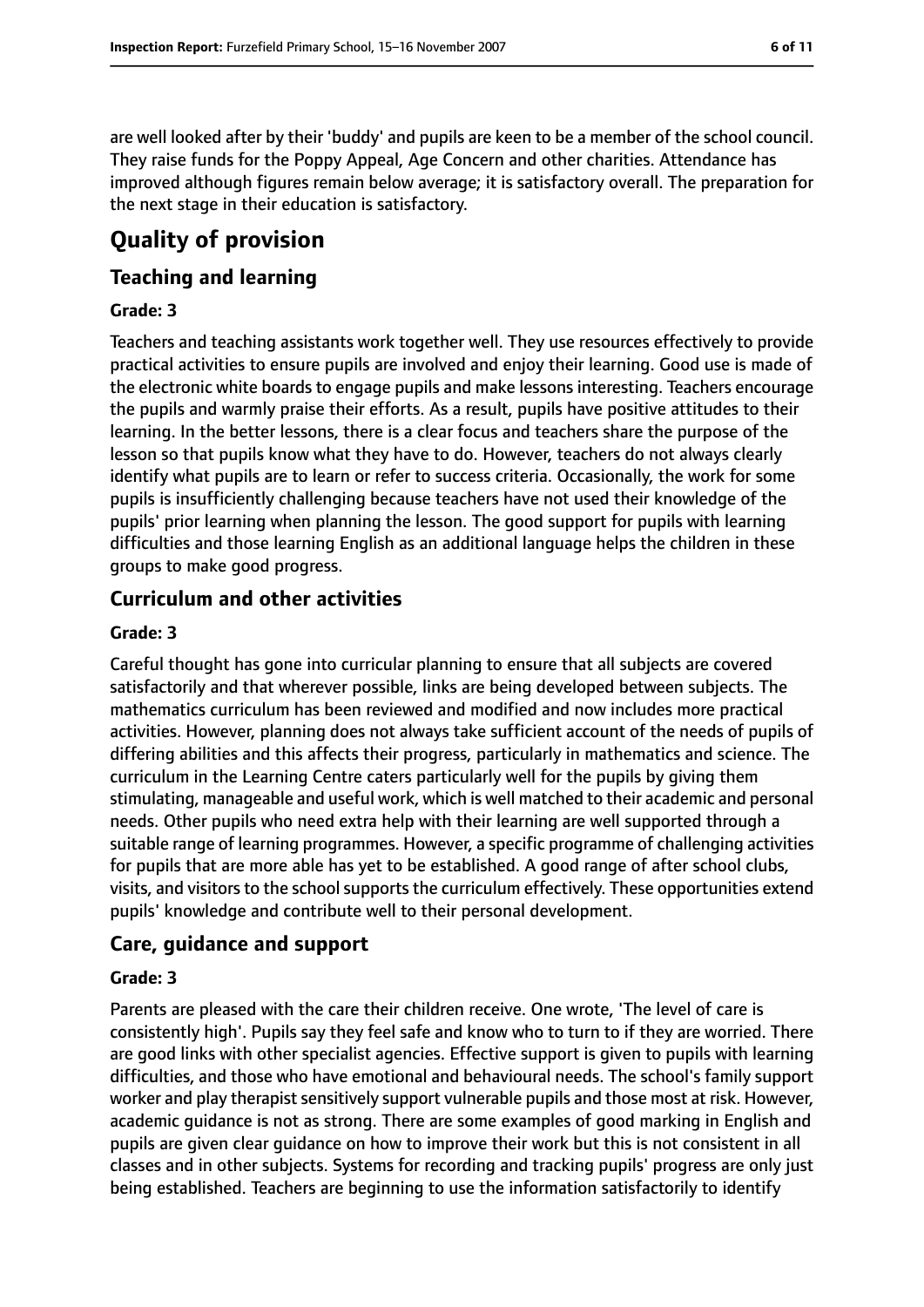are well looked after by their 'buddy' and pupils are keen to be a member of the school council. They raise funds for the Poppy Appeal, Age Concern and other charities. Attendance has improved although figures remain below average; it is satisfactory overall. The preparation for the next stage in their education is satisfactory.

# **Quality of provision**

## **Teaching and learning**

#### **Grade: 3**

Teachers and teaching assistants work together well. They use resources effectively to provide practical activities to ensure pupils are involved and enjoy their learning. Good use is made of the electronic white boards to engage pupils and make lessons interesting. Teachers encourage the pupils and warmly praise their efforts. As a result, pupils have positive attitudes to their learning. In the better lessons, there is a clear focus and teachers share the purpose of the lesson so that pupils know what they have to do. However, teachers do not always clearly identify what pupils are to learn or refer to success criteria. Occasionally, the work for some pupils is insufficiently challenging because teachers have not used their knowledge of the pupils' prior learning when planning the lesson. The good support for pupils with learning difficulties and those learning English as an additional language helps the children in these groups to make good progress.

## **Curriculum and other activities**

#### **Grade: 3**

Careful thought has gone into curricular planning to ensure that all subjects are covered satisfactorily and that wherever possible, links are being developed between subjects. The mathematics curriculum has been reviewed and modified and now includes more practical activities. However, planning does not always take sufficient account of the needs of pupils of differing abilities and this affects their progress, particularly in mathematics and science. The curriculum in the Learning Centre caters particularly well for the pupils by giving them stimulating, manageable and useful work, which is well matched to their academic and personal needs. Other pupils who need extra help with their learning are well supported through a suitable range of learning programmes. However, a specific programme of challenging activities for pupils that are more able has yet to be established. A good range of after school clubs, visits, and visitors to the school supports the curriculum effectively. These opportunities extend pupils' knowledge and contribute well to their personal development.

#### **Care, guidance and support**

#### **Grade: 3**

Parents are pleased with the care their children receive. One wrote, 'The level of care is consistently high'. Pupils say they feel safe and know who to turn to if they are worried. There are good links with other specialist agencies. Effective support is given to pupils with learning difficulties, and those who have emotional and behavioural needs. The school's family support worker and play therapist sensitively support vulnerable pupils and those most at risk. However, academic guidance is not as strong. There are some examples of good marking in English and pupils are given clear guidance on how to improve their work but this is not consistent in all classes and in other subjects. Systems for recording and tracking pupils' progress are only just being established. Teachers are beginning to use the information satisfactorily to identify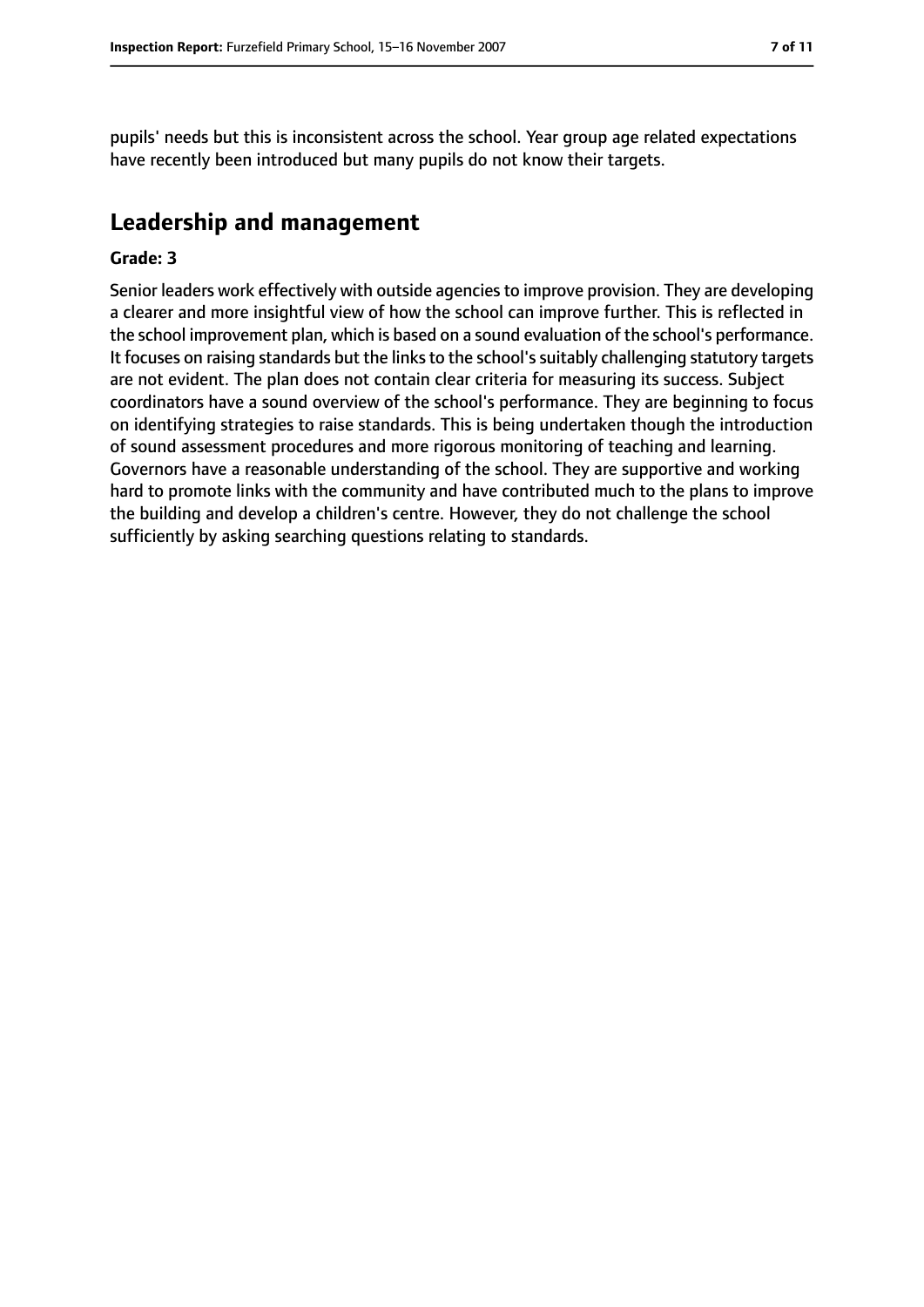pupils' needs but this is inconsistent across the school. Year group age related expectations have recently been introduced but many pupils do not know their targets.

# **Leadership and management**

#### **Grade: 3**

Senior leaders work effectively with outside agencies to improve provision. They are developing a clearer and more insightful view of how the school can improve further. This is reflected in the school improvement plan, which is based on a sound evaluation of the school's performance. It focuses on raising standards but the links to the school's suitably challenging statutory targets are not evident. The plan does not contain clear criteria for measuring its success. Subject coordinators have a sound overview of the school's performance. They are beginning to focus on identifying strategies to raise standards. This is being undertaken though the introduction of sound assessment procedures and more rigorous monitoring of teaching and learning. Governors have a reasonable understanding of the school. They are supportive and working hard to promote links with the community and have contributed much to the plans to improve the building and develop a children's centre. However, they do not challenge the school sufficiently by asking searching questions relating to standards.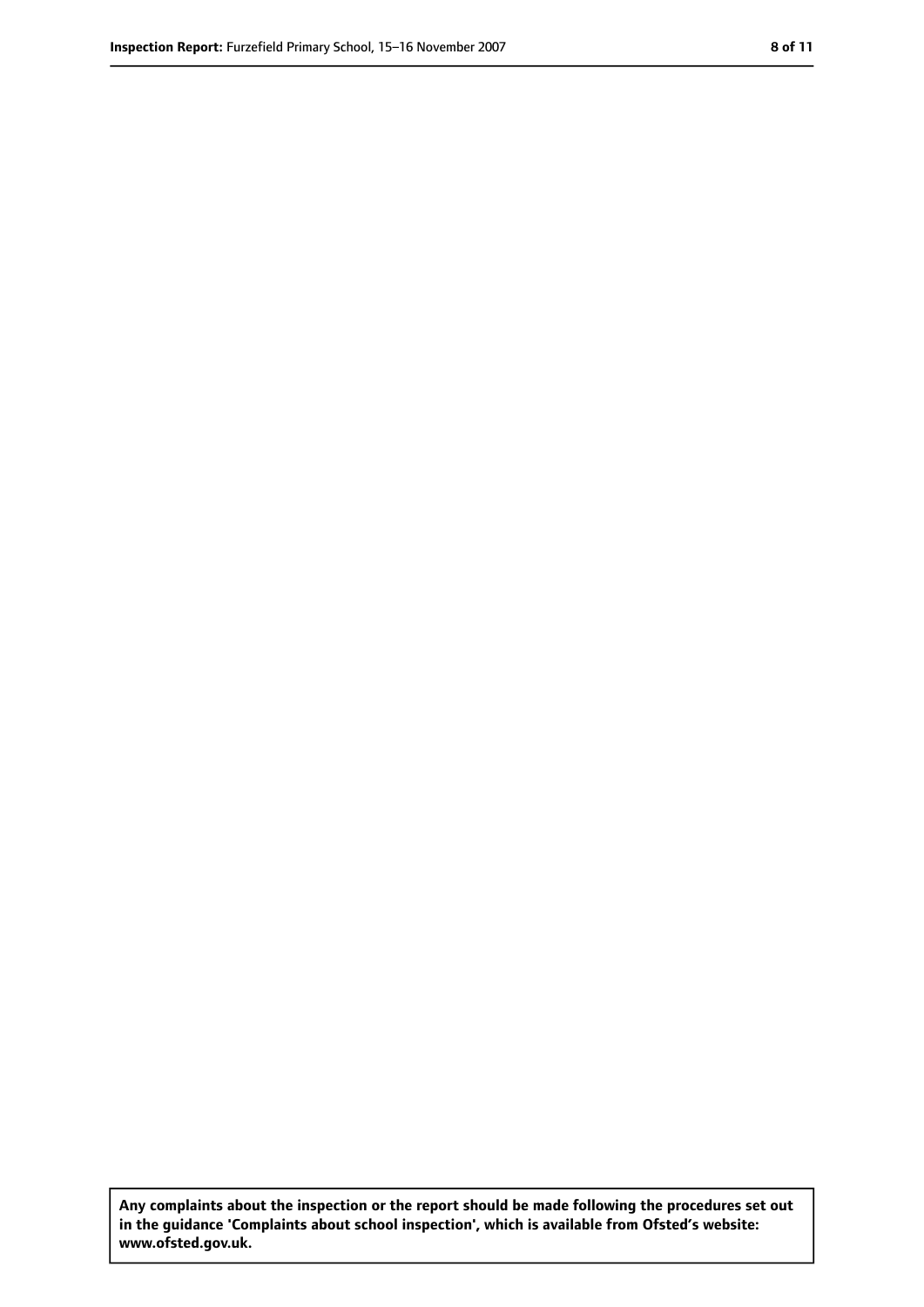**Any complaints about the inspection or the report should be made following the procedures set out in the guidance 'Complaints about school inspection', which is available from Ofsted's website: www.ofsted.gov.uk.**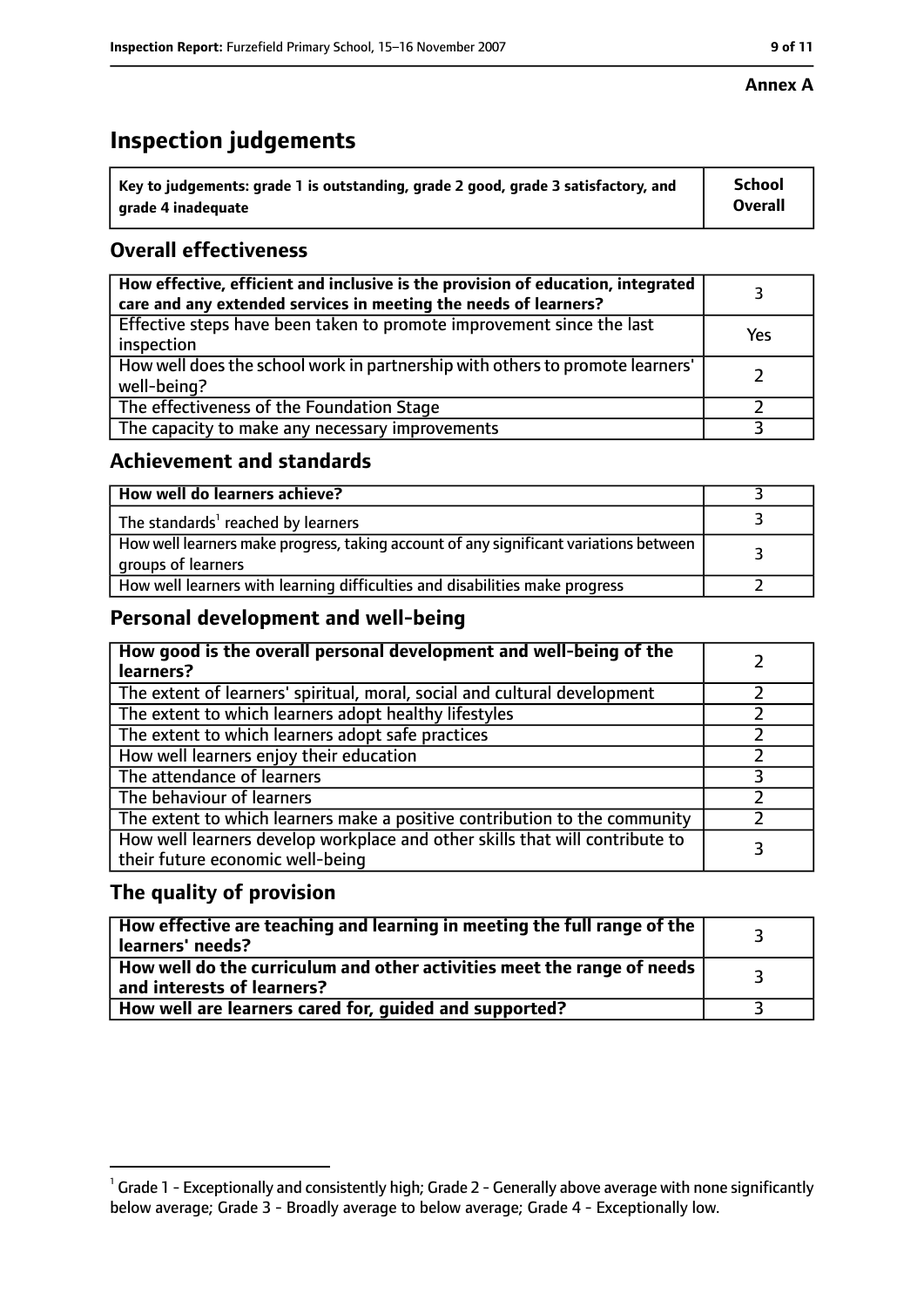# **Inspection judgements**

| $^{\backprime}$ Key to judgements: grade 1 is outstanding, grade 2 good, grade 3 satisfactory, and | <b>School</b>  |
|----------------------------------------------------------------------------------------------------|----------------|
| l  arade 4 inadequate                                                                              | <b>Overall</b> |

# **Overall effectiveness**

| How effective, efficient and inclusive is the provision of education, integrated<br>care and any extended services in meeting the needs of learners? |     |
|------------------------------------------------------------------------------------------------------------------------------------------------------|-----|
| Effective steps have been taken to promote improvement since the last<br>inspection                                                                  | Yes |
| How well does the school work in partnership with others to promote learners'<br>well-being?                                                         |     |
| The effectiveness of the Foundation Stage                                                                                                            |     |
| The capacity to make any necessary improvements                                                                                                      |     |

## **Achievement and standards**

| How well do learners achieve?                                                                               |  |
|-------------------------------------------------------------------------------------------------------------|--|
| The standards <sup>1</sup> reached by learners                                                              |  |
| How well learners make progress, taking account of any significant variations between<br>groups of learners |  |
| How well learners with learning difficulties and disabilities make progress                                 |  |

## **Personal development and well-being**

| How good is the overall personal development and well-being of the<br>learners?                                  |  |
|------------------------------------------------------------------------------------------------------------------|--|
| The extent of learners' spiritual, moral, social and cultural development                                        |  |
| The extent to which learners adopt healthy lifestyles                                                            |  |
| The extent to which learners adopt safe practices                                                                |  |
| How well learners enjoy their education                                                                          |  |
| The attendance of learners                                                                                       |  |
| The behaviour of learners                                                                                        |  |
| The extent to which learners make a positive contribution to the community                                       |  |
| How well learners develop workplace and other skills that will contribute to<br>their future economic well-being |  |

## **The quality of provision**

| How effective are teaching and learning in meeting the full range of the<br>learners' needs?          |  |
|-------------------------------------------------------------------------------------------------------|--|
| How well do the curriculum and other activities meet the range of needs<br>and interests of learners? |  |
| How well are learners cared for, guided and supported?                                                |  |

 $^1$  Grade 1 - Exceptionally and consistently high; Grade 2 - Generally above average with none significantly below average; Grade 3 - Broadly average to below average; Grade 4 - Exceptionally low.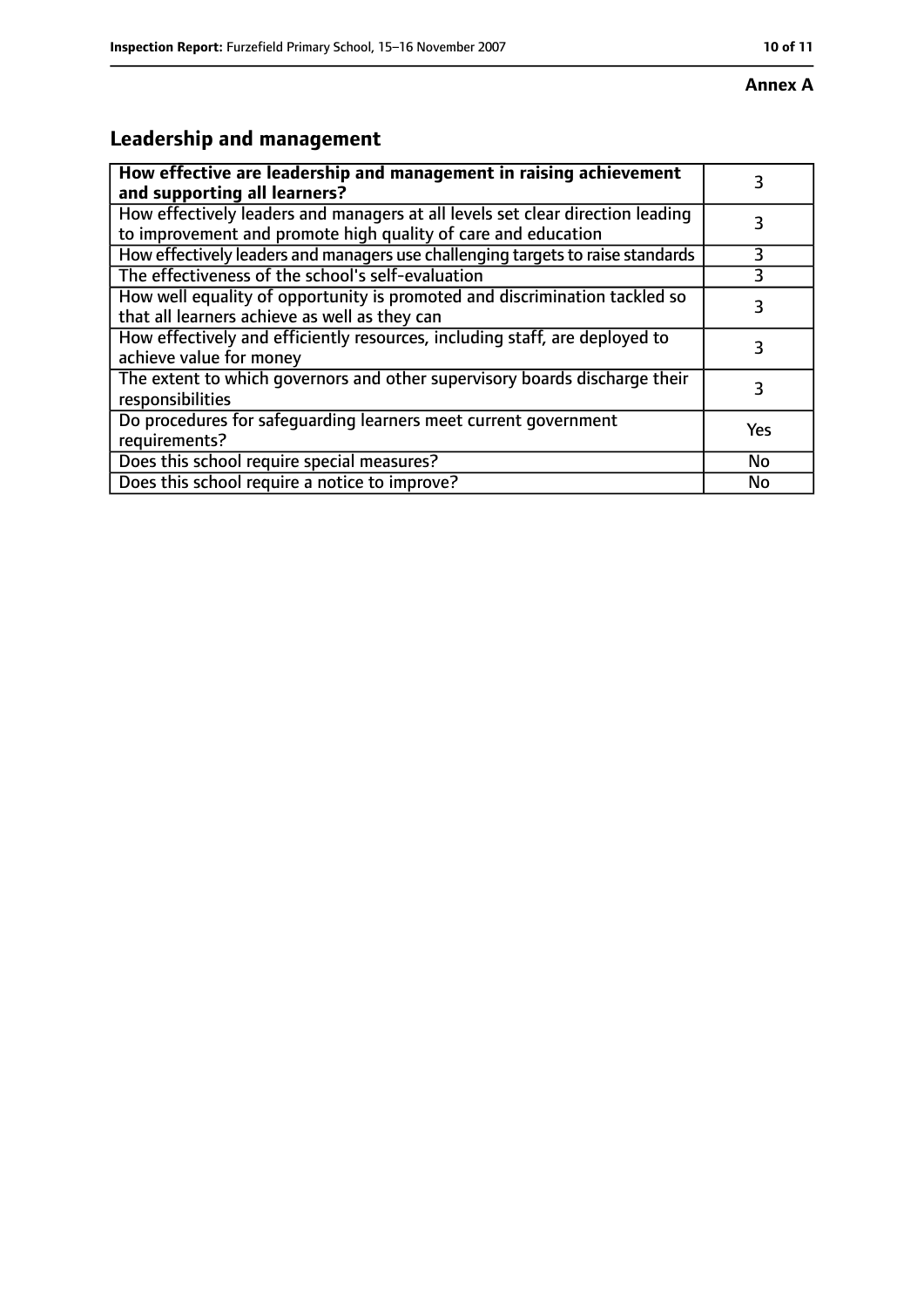# **Leadership and management**

| How effective are leadership and management in raising achievement<br>and supporting all learners?                                              |     |
|-------------------------------------------------------------------------------------------------------------------------------------------------|-----|
| How effectively leaders and managers at all levels set clear direction leading<br>to improvement and promote high quality of care and education |     |
| How effectively leaders and managers use challenging targets to raise standards                                                                 | 3   |
| The effectiveness of the school's self-evaluation                                                                                               |     |
| How well equality of opportunity is promoted and discrimination tackled so<br>that all learners achieve as well as they can                     | 3   |
| How effectively and efficiently resources, including staff, are deployed to<br>achieve value for money                                          | 3   |
| The extent to which governors and other supervisory boards discharge their<br>responsibilities                                                  | 3   |
| Do procedures for safequarding learners meet current government<br>requirements?                                                                | Yes |
| Does this school require special measures?                                                                                                      | No  |
| Does this school require a notice to improve?                                                                                                   | No  |